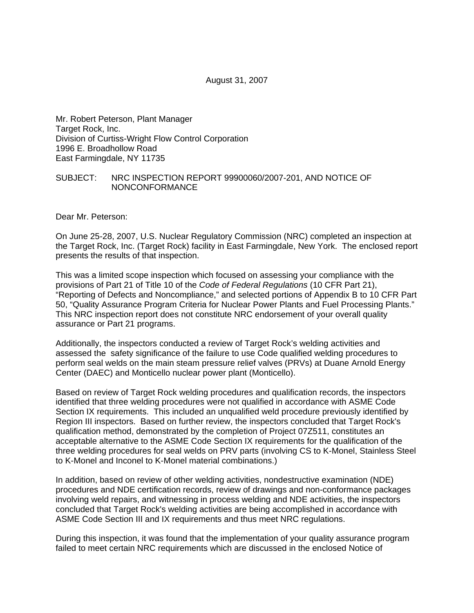August 31, 2007

Mr. Robert Peterson, Plant Manager Target Rock, Inc. Division of Curtiss-Wright Flow Control Corporation 1996 E. Broadhollow Road East Farmingdale, NY 11735

#### SUBJECT: NRC INSPECTION REPORT 99900060/2007-201, AND NOTICE OF NONCONFORMANCE

Dear Mr. Peterson:

On June 25-28, 2007, U.S. Nuclear Regulatory Commission (NRC) completed an inspection at the Target Rock, Inc. (Target Rock) facility in East Farmingdale, New York. The enclosed report presents the results of that inspection.

This was a limited scope inspection which focused on assessing your compliance with the provisions of Part 21 of Title 10 of the *Code of Federal Regulations* (10 CFR Part 21), "Reporting of Defects and Noncompliance," and selected portions of Appendix B to 10 CFR Part 50, "Quality Assurance Program Criteria for Nuclear Power Plants and Fuel Processing Plants." This NRC inspection report does not constitute NRC endorsement of your overall quality assurance or Part 21 programs.

Additionally, the inspectors conducted a review of Target Rock's welding activities and assessed the safety significance of the failure to use Code qualified welding procedures to perform seal welds on the main steam pressure relief valves (PRVs) at Duane Arnold Energy Center (DAEC) and Monticello nuclear power plant (Monticello).

Based on review of Target Rock welding procedures and qualification records, the inspectors identified that three welding procedures were not qualified in accordance with ASME Code Section IX requirements. This included an unqualified weld procedure previously identified by Region III inspectors. Based on further review, the inspectors concluded that Target Rock's qualification method, demonstrated by the completion of Project 07Z511, constitutes an acceptable alternative to the ASME Code Section IX requirements for the qualification of the three welding procedures for seal welds on PRV parts (involving CS to K-Monel, Stainless Steel to K-Monel and Inconel to K-Monel material combinations.)

In addition, based on review of other welding activities, nondestructive examination (NDE) procedures and NDE certification records, review of drawings and non-conformance packages involving weld repairs, and witnessing in process welding and NDE activities, the inspectors concluded that Target Rock's welding activities are being accomplished in accordance with ASME Code Section III and IX requirements and thus meet NRC regulations.

During this inspection, it was found that the implementation of your quality assurance program failed to meet certain NRC requirements which are discussed in the enclosed Notice of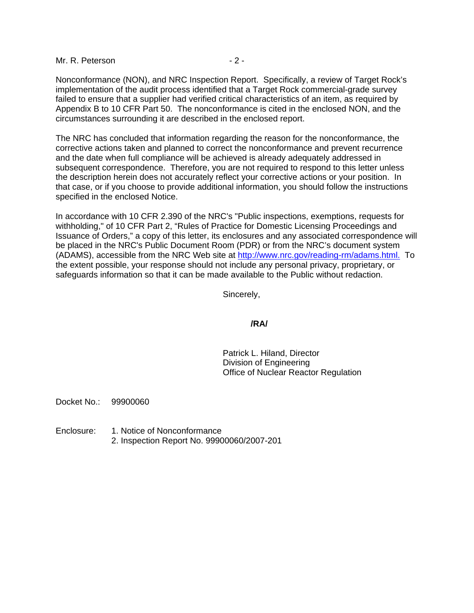#### Mr. R. Peterson  $-2 -$

Nonconformance (NON), and NRC Inspection Report. Specifically, a review of Target Rock's implementation of the audit process identified that a Target Rock commercial-grade survey failed to ensure that a supplier had verified critical characteristics of an item, as required by Appendix B to 10 CFR Part 50. The nonconformance is cited in the enclosed NON, and the circumstances surrounding it are described in the enclosed report.

The NRC has concluded that information regarding the reason for the nonconformance, the corrective actions taken and planned to correct the nonconformance and prevent recurrence and the date when full compliance will be achieved is already adequately addressed in subsequent correspondence. Therefore, you are not required to respond to this letter unless the description herein does not accurately reflect your corrective actions or your position. In that case, or if you choose to provide additional information, you should follow the instructions specified in the enclosed Notice.

In accordance with 10 CFR 2.390 of the NRC's "Public inspections, exemptions, requests for withholding," of 10 CFR Part 2, "Rules of Practice for Domestic Licensing Proceedings and Issuance of Orders," a copy of this letter, its enclosures and any associated correspondence will be placed in the NRC's Public Document Room (PDR) or from the NRC's document system (ADAMS), accessible from the NRC Web site at http://www.nrc.gov/reading-rm/adams.html. To the extent possible, your response should not include any personal privacy, proprietary, or safeguards information so that it can be made available to the Public without redaction.

Sincerely,

#### **/RA/**

Patrick L. Hiland, Director Division of Engineering Office of Nuclear Reactor Regulation

Docket No.: 99900060

Enclosure: 1. Notice of Nonconformance 2. Inspection Report No. 99900060/2007-201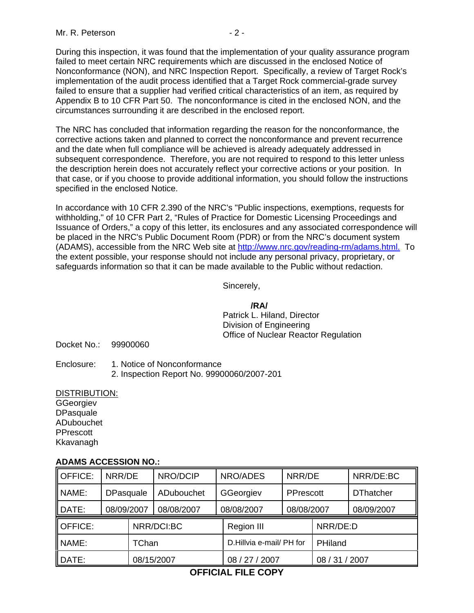During this inspection, it was found that the implementation of your quality assurance program failed to meet certain NRC requirements which are discussed in the enclosed Notice of Nonconformance (NON), and NRC Inspection Report. Specifically, a review of Target Rock's implementation of the audit process identified that a Target Rock commercial-grade survey failed to ensure that a supplier had verified critical characteristics of an item, as required by Appendix B to 10 CFR Part 50. The nonconformance is cited in the enclosed NON, and the circumstances surrounding it are described in the enclosed report.

The NRC has concluded that information regarding the reason for the nonconformance, the corrective actions taken and planned to correct the nonconformance and prevent recurrence and the date when full compliance will be achieved is already adequately addressed in subsequent correspondence. Therefore, you are not required to respond to this letter unless the description herein does not accurately reflect your corrective actions or your position. In that case, or if you choose to provide additional information, you should follow the instructions specified in the enclosed Notice.

In accordance with 10 CFR 2.390 of the NRC's "Public inspections, exemptions, requests for withholding," of 10 CFR Part 2, "Rules of Practice for Domestic Licensing Proceedings and Issuance of Orders," a copy of this letter, its enclosures and any associated correspondence will be placed in the NRC's Public Document Room (PDR) or from the NRC's document system (ADAMS), accessible from the NRC Web site at http://www.nrc.gov/reading-rm/adams.html. To the extent possible, your response should not include any personal privacy, proprietary, or safeguards information so that it can be made available to the Public without redaction.

Sincerely,

**/RA/**

Patrick L. Hiland, Director Division of Engineering Office of Nuclear Reactor Regulation

Docket No.: 99900060

- 
- Enclosure: 1. Notice of Nonconformance
	- 2. Inspection Report No. 99900060/2007-201

DISTRIBUTION:

**GGeorgiev DPasquale** ADubouchet **PPrescott** Kkavanagh

## **ADAMS ACCESSION NO.:**

| $\parallel$ OFFICE: | NRO/DCIP<br>NRR/DE |                                  |            | NRO/ADES                 | NRR/DE     |            | NRR/DE:BC |                  |
|---------------------|--------------------|----------------------------------|------------|--------------------------|------------|------------|-----------|------------------|
| NAME:               | <b>DPasquale</b>   |                                  | ADubouchet |                          | GGeorgiev  | PPrescott  |           | <b>DThatcher</b> |
| DATE:               | 08/09/2007         |                                  | 08/08/2007 |                          | 08/08/2007 | 08/08/2007 |           | 08/09/2007       |
| OFFICE:             | NRR/DCI:BC         |                                  |            | Region III               | NRR/DE:D   |            |           |                  |
| NAME:               | <b>TChan</b>       |                                  |            | D.Hillvia e-mail/ PH for |            | PHiland    |           |                  |
| DATE:<br>08/15/2007 |                    | 08 / 27 / 2007<br>08 / 31 / 2007 |            |                          |            |            |           |                  |

# **OFFICIAL FILE COPY**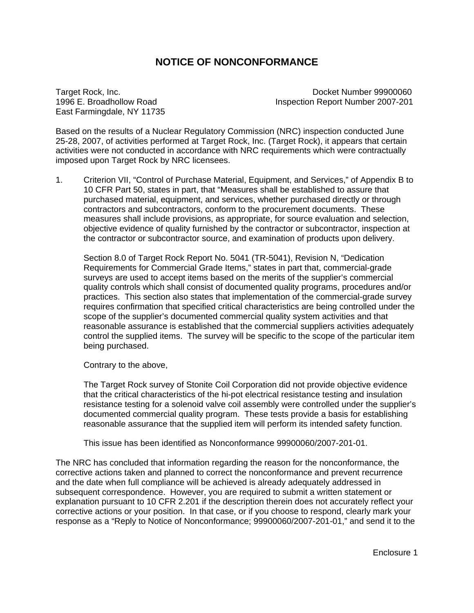## **NOTICE OF NONCONFORMANCE**

East Farmingdale, NY 11735

Target Rock, Inc. Docket Number 99900060 1996 E. Broadhollow Road **Inspection Report Number 2007-201** 

Based on the results of a Nuclear Regulatory Commission (NRC) inspection conducted June 25-28, 2007, of activities performed at Target Rock, Inc. (Target Rock), it appears that certain activities were not conducted in accordance with NRC requirements which were contractually imposed upon Target Rock by NRC licensees.

1. Criterion VII, "Control of Purchase Material, Equipment, and Services," of Appendix B to 10 CFR Part 50, states in part, that "Measures shall be established to assure that purchased material, equipment, and services, whether purchased directly or through contractors and subcontractors, conform to the procurement documents. These measures shall include provisions, as appropriate, for source evaluation and selection, objective evidence of quality furnished by the contractor or subcontractor, inspection at the contractor or subcontractor source, and examination of products upon delivery.

Section 8.0 of Target Rock Report No. 5041 (TR-5041), Revision N, "Dedication Requirements for Commercial Grade Items," states in part that, commercial-grade surveys are used to accept items based on the merits of the supplier's commercial quality controls which shall consist of documented quality programs, procedures and/or practices. This section also states that implementation of the commercial-grade survey requires confirmation that specified critical characteristics are being controlled under the scope of the supplier's documented commercial quality system activities and that reasonable assurance is established that the commercial suppliers activities adequately control the supplied items. The survey will be specific to the scope of the particular item being purchased.

Contrary to the above,

The Target Rock survey of Stonite Coil Corporation did not provide objective evidence that the critical characteristics of the hi-pot electrical resistance testing and insulation resistance testing for a solenoid valve coil assembly were controlled under the supplier's documented commercial quality program. These tests provide a basis for establishing reasonable assurance that the supplied item will perform its intended safety function.

This issue has been identified as Nonconformance 99900060/2007-201-01.

The NRC has concluded that information regarding the reason for the nonconformance, the corrective actions taken and planned to correct the nonconformance and prevent recurrence and the date when full compliance will be achieved is already adequately addressed in subsequent correspondence. However, you are required to submit a written statement or explanation pursuant to 10 CFR 2.201 if the description therein does not accurately reflect your corrective actions or your position. In that case, or if you choose to respond, clearly mark your response as a "Reply to Notice of Nonconformance; 99900060/2007-201-01," and send it to the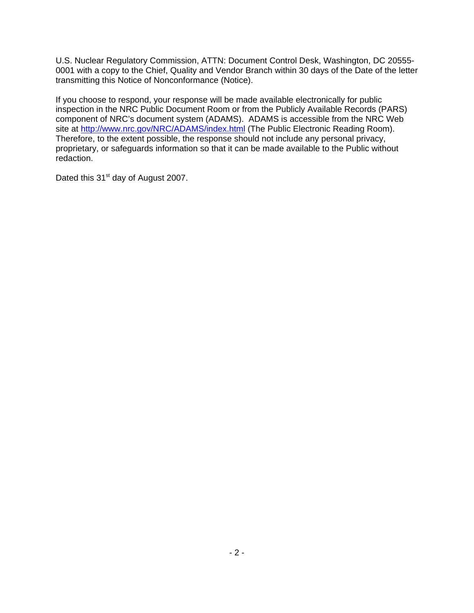U.S. Nuclear Regulatory Commission, ATTN: Document Control Desk, Washington, DC 20555- 0001 with a copy to the Chief, Quality and Vendor Branch within 30 days of the Date of the letter transmitting this Notice of Nonconformance (Notice).

If you choose to respond, your response will be made available electronically for public inspection in the NRC Public Document Room or from the Publicly Available Records (PARS) component of NRC's document system (ADAMS). ADAMS is accessible from the NRC Web site at http://www.nrc.gov/NRC/ADAMS/index.html (The Public Electronic Reading Room). Therefore, to the extent possible, the response should not include any personal privacy, proprietary, or safeguards information so that it can be made available to the Public without redaction.

Dated this 31<sup>st</sup> day of August 2007.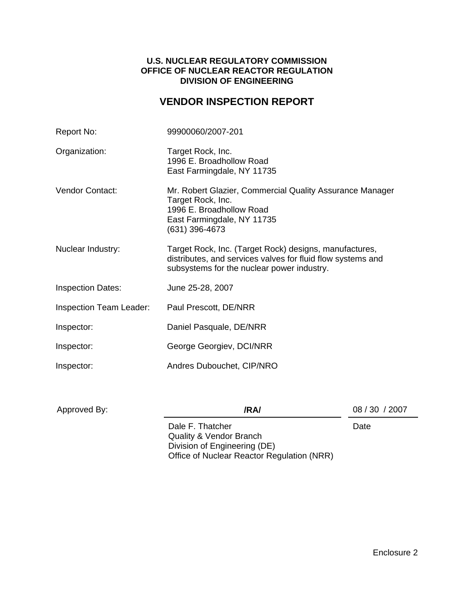## **U.S. NUCLEAR REGULATORY COMMISSION OFFICE OF NUCLEAR REACTOR REGULATION DIVISION OF ENGINEERING**

# **VENDOR INSPECTION REPORT**

| Report No:               | 99900060/2007-201                                                                                                                                                   |
|--------------------------|---------------------------------------------------------------------------------------------------------------------------------------------------------------------|
| Organization:            | Target Rock, Inc.<br>1996 E. Broadhollow Road<br>East Farmingdale, NY 11735                                                                                         |
| Vendor Contact:          | Mr. Robert Glazier, Commercial Quality Assurance Manager<br>Target Rock, Inc.<br>1996 E. Broadhollow Road<br>East Farmingdale, NY 11735<br>(631) 396-4673           |
| Nuclear Industry:        | Target Rock, Inc. (Target Rock) designs, manufactures,<br>distributes, and services valves for fluid flow systems and<br>subsystems for the nuclear power industry. |
| <b>Inspection Dates:</b> | June 25-28, 2007                                                                                                                                                    |
| Inspection Team Leader:  | Paul Prescott, DE/NRR                                                                                                                                               |
| Inspector:               | Daniel Pasquale, DE/NRR                                                                                                                                             |
| Inspector:               | George Georgiev, DCI/NRR                                                                                                                                            |
| Inspector:               | Andres Dubouchet, CIP/NRO                                                                                                                                           |

| Approved By: | /RA/                                                                       | 08 / 30 / 2007 |
|--------------|----------------------------------------------------------------------------|----------------|
|              | Dale F. Thatcher<br>Quality & Vendor Branch                                | Date           |
|              | Division of Engineering (DE)<br>Office of Nuclear Reactor Regulation (NRR) |                |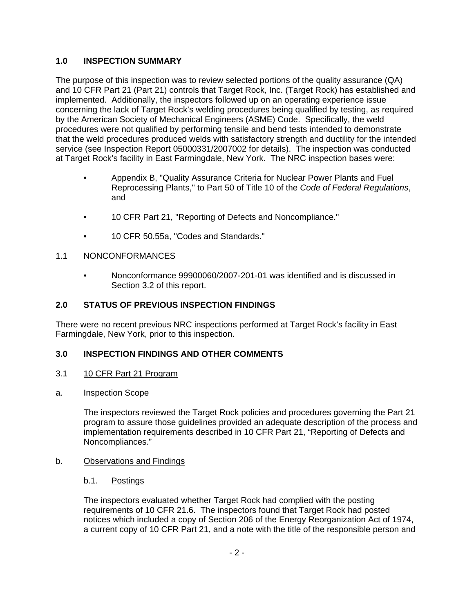## **1.0 INSPECTION SUMMARY**

The purpose of this inspection was to review selected portions of the quality assurance (QA) and 10 CFR Part 21 (Part 21) controls that Target Rock, Inc. (Target Rock) has established and implemented. Additionally, the inspectors followed up on an operating experience issue concerning the lack of Target Rock's welding procedures being qualified by testing, as required by the American Society of Mechanical Engineers (ASME) Code. Specifically, the weld procedures were not qualified by performing tensile and bend tests intended to demonstrate that the weld procedures produced welds with satisfactory strength and ductility for the intended service (see Inspection Report 05000331/2007002 for details). The inspection was conducted at Target Rock's facility in East Farmingdale, New York. The NRC inspection bases were:

- Appendix B, "Quality Assurance Criteria for Nuclear Power Plants and Fuel Reprocessing Plants," to Part 50 of Title 10 of the *Code of Federal Regulations*, and
- 10 CFR Part 21, "Reporting of Defects and Noncompliance."
- 10 CFR 50.55a, "Codes and Standards."

## 1.1 NONCONFORMANCES

• Nonconformance 99900060/2007-201-01 was identified and is discussed in Section 3.2 of this report.

## **2.0 STATUS OF PREVIOUS INSPECTION FINDINGS**

There were no recent previous NRC inspections performed at Target Rock's facility in East Farmingdale, New York, prior to this inspection.

## **3.0 INSPECTION FINDINGS AND OTHER COMMENTS**

3.1 10 CFR Part 21 Program

## a. Inspection Scope

The inspectors reviewed the Target Rock policies and procedures governing the Part 21 program to assure those guidelines provided an adequate description of the process and implementation requirements described in 10 CFR Part 21, "Reporting of Defects and Noncompliances."

## b. Observations and Findings

b.1. Postings

The inspectors evaluated whether Target Rock had complied with the posting requirements of 10 CFR 21.6. The inspectors found that Target Rock had posted notices which included a copy of Section 206 of the Energy Reorganization Act of 1974, a current copy of 10 CFR Part 21, and a note with the title of the responsible person and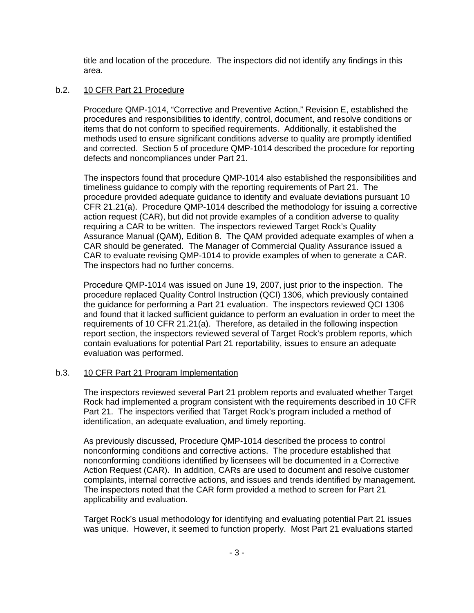title and location of the procedure. The inspectors did not identify any findings in this area.

## b.2. 10 CFR Part 21 Procedure

Procedure QMP-1014, "Corrective and Preventive Action," Revision E, established the procedures and responsibilities to identify, control, document, and resolve conditions or items that do not conform to specified requirements. Additionally, it established the methods used to ensure significant conditions adverse to quality are promptly identified and corrected. Section 5 of procedure QMP-1014 described the procedure for reporting defects and noncompliances under Part 21.

The inspectors found that procedure QMP-1014 also established the responsibilities and timeliness guidance to comply with the reporting requirements of Part 21. The procedure provided adequate guidance to identify and evaluate deviations pursuant 10 CFR 21.21(a). Procedure QMP-1014 described the methodology for issuing a corrective action request (CAR), but did not provide examples of a condition adverse to quality requiring a CAR to be written. The inspectors reviewed Target Rock's Quality Assurance Manual (QAM), Edition 8. The QAM provided adequate examples of when a CAR should be generated. The Manager of Commercial Quality Assurance issued a CAR to evaluate revising QMP-1014 to provide examples of when to generate a CAR. The inspectors had no further concerns.

Procedure QMP-1014 was issued on June 19, 2007, just prior to the inspection. The procedure replaced Quality Control Instruction (QCI) 1306, which previously contained the guidance for performing a Part 21 evaluation. The inspectors reviewed QCI 1306 and found that it lacked sufficient guidance to perform an evaluation in order to meet the requirements of 10 CFR 21.21(a). Therefore, as detailed in the following inspection report section, the inspectors reviewed several of Target Rock's problem reports, which contain evaluations for potential Part 21 reportability, issues to ensure an adequate evaluation was performed.

## b.3. 10 CFR Part 21 Program Implementation

The inspectors reviewed several Part 21 problem reports and evaluated whether Target Rock had implemented a program consistent with the requirements described in 10 CFR Part 21. The inspectors verified that Target Rock's program included a method of identification, an adequate evaluation, and timely reporting.

As previously discussed, Procedure QMP-1014 described the process to control nonconforming conditions and corrective actions. The procedure established that nonconforming conditions identified by licensees will be documented in a Corrective Action Request (CAR). In addition, CARs are used to document and resolve customer complaints, internal corrective actions, and issues and trends identified by management. The inspectors noted that the CAR form provided a method to screen for Part 21 applicability and evaluation.

Target Rock's usual methodology for identifying and evaluating potential Part 21 issues was unique. However, it seemed to function properly. Most Part 21 evaluations started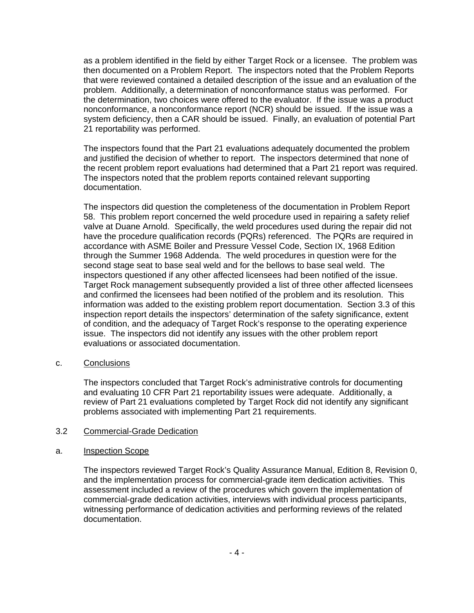as a problem identified in the field by either Target Rock or a licensee. The problem was then documented on a Problem Report. The inspectors noted that the Problem Reports that were reviewed contained a detailed description of the issue and an evaluation of the problem. Additionally, a determination of nonconformance status was performed. For the determination, two choices were offered to the evaluator. If the issue was a product nonconformance, a nonconformance report (NCR) should be issued. If the issue was a system deficiency, then a CAR should be issued. Finally, an evaluation of potential Part 21 reportability was performed.

The inspectors found that the Part 21 evaluations adequately documented the problem and justified the decision of whether to report. The inspectors determined that none of the recent problem report evaluations had determined that a Part 21 report was required. The inspectors noted that the problem reports contained relevant supporting documentation.

The inspectors did question the completeness of the documentation in Problem Report 58. This problem report concerned the weld procedure used in repairing a safety relief valve at Duane Arnold. Specifically, the weld procedures used during the repair did not have the procedure qualification records (PQRs) referenced. The PQRs are required in accordance with ASME Boiler and Pressure Vessel Code, Section IX, 1968 Edition through the Summer 1968 Addenda. The weld procedures in question were for the second stage seat to base seal weld and for the bellows to base seal weld. The inspectors questioned if any other affected licensees had been notified of the issue. Target Rock management subsequently provided a list of three other affected licensees and confirmed the licensees had been notified of the problem and its resolution. This information was added to the existing problem report documentation. Section 3.3 of this inspection report details the inspectors' determination of the safety significance, extent of condition, and the adequacy of Target Rock's response to the operating experience issue. The inspectors did not identify any issues with the other problem report evaluations or associated documentation.

#### c. Conclusions

The inspectors concluded that Target Rock's administrative controls for documenting and evaluating 10 CFR Part 21 reportability issues were adequate. Additionally, a review of Part 21 evaluations completed by Target Rock did not identify any significant problems associated with implementing Part 21 requirements.

#### 3.2 Commercial-Grade Dedication

#### a. Inspection Scope

The inspectors reviewed Target Rock's Quality Assurance Manual, Edition 8, Revision 0, and the implementation process for commercial-grade item dedication activities. This assessment included a review of the procedures which govern the implementation of commercial-grade dedication activities, interviews with individual process participants, witnessing performance of dedication activities and performing reviews of the related documentation.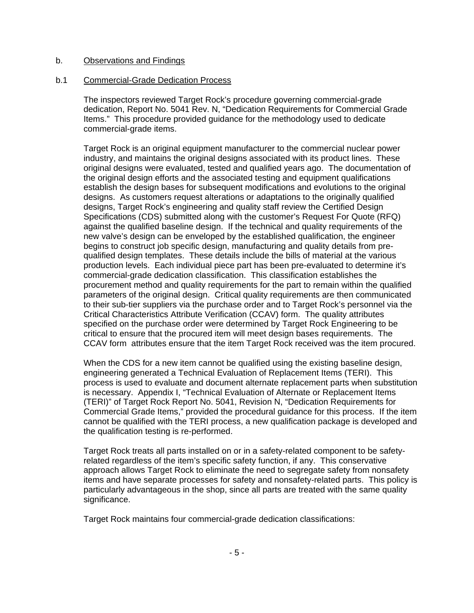#### b. Observations and Findings

#### b.1 Commercial-Grade Dedication Process

The inspectors reviewed Target Rock's procedure governing commercial-grade dedication, Report No. 5041 Rev. N, "Dedication Requirements for Commercial Grade Items." This procedure provided guidance for the methodology used to dedicate commercial-grade items.

Target Rock is an original equipment manufacturer to the commercial nuclear power industry, and maintains the original designs associated with its product lines. These original designs were evaluated, tested and qualified years ago. The documentation of the original design efforts and the associated testing and equipment qualifications establish the design bases for subsequent modifications and evolutions to the original designs. As customers request alterations or adaptations to the originally qualified designs, Target Rock's engineering and quality staff review the Certified Design Specifications (CDS) submitted along with the customer's Request For Quote (RFQ) against the qualified baseline design. If the technical and quality requirements of the new valve's design can be enveloped by the established qualification, the engineer begins to construct job specific design, manufacturing and quality details from prequalified design templates. These details include the bills of material at the various production levels. Each individual piece part has been pre-evaluated to determine it's commercial-grade dedication classification. This classification establishes the procurement method and quality requirements for the part to remain within the qualified parameters of the original design. Critical quality requirements are then communicated to their sub-tier suppliers via the purchase order and to Target Rock's personnel via the Critical Characteristics Attribute Verification (CCAV) form. The quality attributes specified on the purchase order were determined by Target Rock Engineering to be critical to ensure that the procured item will meet design bases requirements. The CCAV form attributes ensure that the item Target Rock received was the item procured.

When the CDS for a new item cannot be qualified using the existing baseline design, engineering generated a Technical Evaluation of Replacement Items (TERI). This process is used to evaluate and document alternate replacement parts when substitution is necessary. Appendix I, "Technical Evaluation of Alternate or Replacement Items (TERI)" of Target Rock Report No. 5041, Revision N, "Dedication Requirements for Commercial Grade Items," provided the procedural guidance for this process. If the item cannot be qualified with the TERI process, a new qualification package is developed and the qualification testing is re-performed.

Target Rock treats all parts installed on or in a safety-related component to be safetyrelated regardless of the item's specific safety function, if any. This conservative approach allows Target Rock to eliminate the need to segregate safety from nonsafety items and have separate processes for safety and nonsafety-related parts. This policy is particularly advantageous in the shop, since all parts are treated with the same quality significance.

Target Rock maintains four commercial-grade dedication classifications: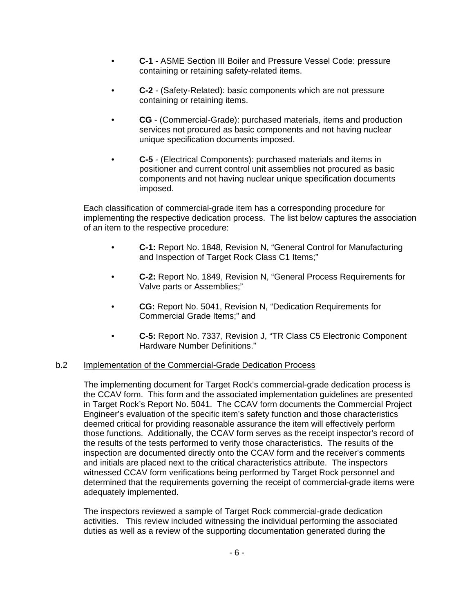- **C-1** ASME Section III Boiler and Pressure Vessel Code: pressure containing or retaining safety-related items.
- **C-2** (Safety-Related): basic components which are not pressure containing or retaining items.
- **CG** (Commercial-Grade): purchased materials, items and production services not procured as basic components and not having nuclear unique specification documents imposed.
- **C-5** (Electrical Components): purchased materials and items in positioner and current control unit assemblies not procured as basic components and not having nuclear unique specification documents imposed.

Each classification of commercial-grade item has a corresponding procedure for implementing the respective dedication process. The list below captures the association of an item to the respective procedure:

- **C-1:** Report No. 1848, Revision N, "General Control for Manufacturing and Inspection of Target Rock Class C1 Items;"
- **C-2:** Report No. 1849, Revision N, "General Process Requirements for Valve parts or Assemblies;"
- **CG:** Report No. 5041, Revision N, "Dedication Requirements for Commercial Grade Items;" and
- **C-5:** Report No. 7337, Revision J, "TR Class C5 Electronic Component Hardware Number Definitions."

## b.2 Implementation of the Commercial-Grade Dedication Process

The implementing document for Target Rock's commercial-grade dedication process is the CCAV form. This form and the associated implementation guidelines are presented in Target Rock's Report No. 5041. The CCAV form documents the Commercial Project Engineer's evaluation of the specific item's safety function and those characteristics deemed critical for providing reasonable assurance the item will effectively perform those functions. Additionally, the CCAV form serves as the receipt inspector's record of the results of the tests performed to verify those characteristics. The results of the inspection are documented directly onto the CCAV form and the receiver's comments and initials are placed next to the critical characteristics attribute. The inspectors witnessed CCAV form verifications being performed by Target Rock personnel and determined that the requirements governing the receipt of commercial-grade items were adequately implemented.

The inspectors reviewed a sample of Target Rock commercial-grade dedication activities. This review included witnessing the individual performing the associated duties as well as a review of the supporting documentation generated during the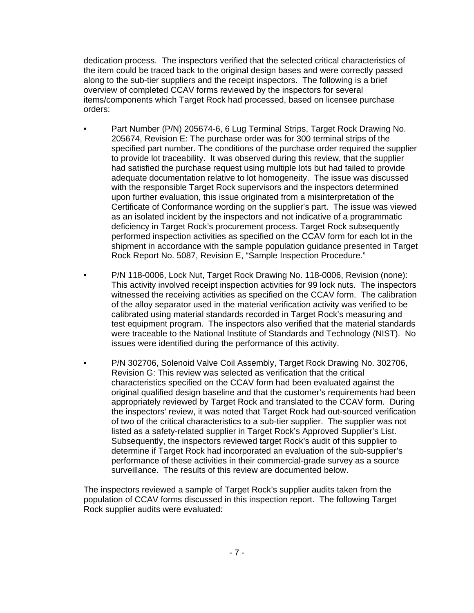dedication process. The inspectors verified that the selected critical characteristics of the item could be traced back to the original design bases and were correctly passed along to the sub-tier suppliers and the receipt inspectors. The following is a brief overview of completed CCAV forms reviewed by the inspectors for several items/components which Target Rock had processed, based on licensee purchase orders:

- Part Number (P/N) 205674-6, 6 Lug Terminal Strips, Target Rock Drawing No. 205674, Revision E: The purchase order was for 300 terminal strips of the specified part number. The conditions of the purchase order required the supplier to provide lot traceability. It was observed during this review, that the supplier had satisfied the purchase request using multiple lots but had failed to provide adequate documentation relative to lot homogeneity. The issue was discussed with the responsible Target Rock supervisors and the inspectors determined upon further evaluation, this issue originated from a misinterpretation of the Certificate of Conformance wording on the supplier's part. The issue was viewed as an isolated incident by the inspectors and not indicative of a programmatic deficiency in Target Rock's procurement process. Target Rock subsequently performed inspection activities as specified on the CCAV form for each lot in the shipment in accordance with the sample population guidance presented in Target Rock Report No. 5087, Revision E, "Sample Inspection Procedure."
- P/N 118-0006, Lock Nut, Target Rock Drawing No. 118-0006, Revision (none): This activity involved receipt inspection activities for 99 lock nuts. The inspectors witnessed the receiving activities as specified on the CCAV form. The calibration of the alloy separator used in the material verification activity was verified to be calibrated using material standards recorded in Target Rock's measuring and test equipment program. The inspectors also verified that the material standards were traceable to the National Institute of Standards and Technology (NIST). No issues were identified during the performance of this activity.
- P/N 302706, Solenoid Valve Coil Assembly, Target Rock Drawing No. 302706, Revision G: This review was selected as verification that the critical characteristics specified on the CCAV form had been evaluated against the original qualified design baseline and that the customer's requirements had been appropriately reviewed by Target Rock and translated to the CCAV form. During the inspectors' review, it was noted that Target Rock had out-sourced verification of two of the critical characteristics to a sub-tier supplier. The supplier was not listed as a safety-related supplier in Target Rock's Approved Supplier's List. Subsequently, the inspectors reviewed target Rock's audit of this supplier to determine if Target Rock had incorporated an evaluation of the sub-supplier's performance of these activities in their commercial-grade survey as a source surveillance. The results of this review are documented below.

The inspectors reviewed a sample of Target Rock's supplier audits taken from the population of CCAV forms discussed in this inspection report. The following Target Rock supplier audits were evaluated: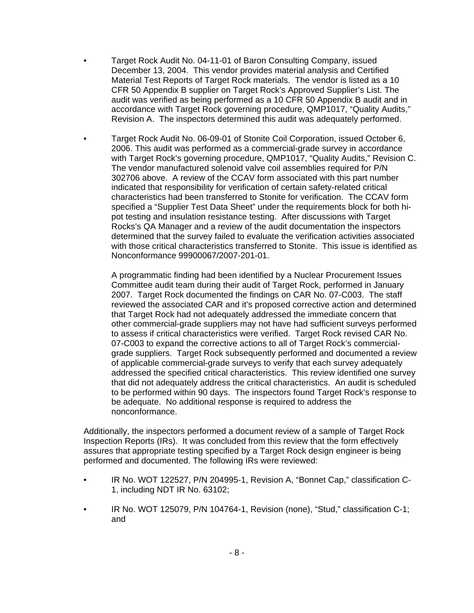- Target Rock Audit No. 04-11-01 of Baron Consulting Company, issued December 13, 2004. This vendor provides material analysis and Certified Material Test Reports of Target Rock materials. The vendor is listed as a 10 CFR 50 Appendix B supplier on Target Rock's Approved Supplier's List. The audit was verified as being performed as a 10 CFR 50 Appendix B audit and in accordance with Target Rock governing procedure, QMP1017, "Quality Audits," Revision A. The inspectors determined this audit was adequately performed.
- Target Rock Audit No. 06-09-01 of Stonite Coil Corporation, issued October 6, 2006. This audit was performed as a commercial-grade survey in accordance with Target Rock's governing procedure, QMP1017, "Quality Audits," Revision C. The vendor manufactured solenoid valve coil assemblies required for P/N 302706 above. A review of the CCAV form associated with this part number indicated that responsibility for verification of certain safety-related critical characteristics had been transferred to Stonite for verification. The CCAV form specified a "Supplier Test Data Sheet" under the requirements block for both hipot testing and insulation resistance testing. After discussions with Target Rocks's QA Manager and a review of the audit documentation the inspectors determined that the survey failed to evaluate the verification activities associated with those critical characteristics transferred to Stonite. This issue is identified as Nonconformance 99900067/2007-201-01.

A programmatic finding had been identified by a Nuclear Procurement Issues Committee audit team during their audit of Target Rock, performed in January 2007. Target Rock documented the findings on CAR No. 07-C003. The staff reviewed the associated CAR and it's proposed corrective action and determined that Target Rock had not adequately addressed the immediate concern that other commercial-grade suppliers may not have had sufficient surveys performed to assess if critical characteristics were verified. Target Rock revised CAR No. 07-C003 to expand the corrective actions to all of Target Rock's commercialgrade suppliers. Target Rock subsequently performed and documented a review of applicable commercial-grade surveys to verify that each survey adequately addressed the specified critical characteristics. This review identified one survey that did not adequately address the critical characteristics. An audit is scheduled to be performed within 90 days. The inspectors found Target Rock's response to be adequate. No additional response is required to address the nonconformance.

Additionally, the inspectors performed a document review of a sample of Target Rock Inspection Reports (IRs). It was concluded from this review that the form effectively assures that appropriate testing specified by a Target Rock design engineer is being performed and documented. The following IRs were reviewed:

- IR No. WOT 122527, P/N 204995-1, Revision A, "Bonnet Cap," classification C-1, including NDT IR No. 63102;
- IR No. WOT 125079, P/N 104764-1, Revision (none), "Stud," classification C-1; and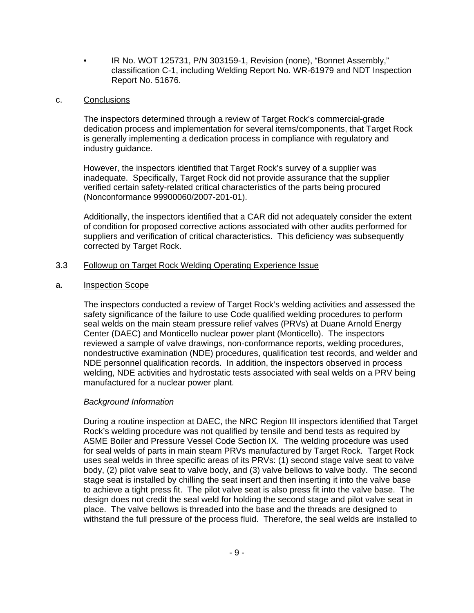• IR No. WOT 125731, P/N 303159-1, Revision (none), "Bonnet Assembly," classification C-1, including Welding Report No. WR-61979 and NDT Inspection Report No. 51676.

#### c. Conclusions

The inspectors determined through a review of Target Rock's commercial-grade dedication process and implementation for several items/components, that Target Rock is generally implementing a dedication process in compliance with regulatory and industry guidance.

However, the inspectors identified that Target Rock's survey of a supplier was inadequate. Specifically, Target Rock did not provide assurance that the supplier verified certain safety-related critical characteristics of the parts being procured (Nonconformance 99900060/2007-201-01).

Additionally, the inspectors identified that a CAR did not adequately consider the extent of condition for proposed corrective actions associated with other audits performed for suppliers and verification of critical characteristics. This deficiency was subsequently corrected by Target Rock.

## 3.3 Followup on Target Rock Welding Operating Experience Issue

a. Inspection Scope

The inspectors conducted a review of Target Rock's welding activities and assessed the safety significance of the failure to use Code qualified welding procedures to perform seal welds on the main steam pressure relief valves (PRVs) at Duane Arnold Energy Center (DAEC) and Monticello nuclear power plant (Monticello). The inspectors reviewed a sample of valve drawings, non-conformance reports, welding procedures, nondestructive examination (NDE) procedures, qualification test records, and welder and NDE personnel qualification records. In addition, the inspectors observed in process welding, NDE activities and hydrostatic tests associated with seal welds on a PRV being manufactured for a nuclear power plant.

## *Background Information*

During a routine inspection at DAEC, the NRC Region III inspectors identified that Target Rock's welding procedure was not qualified by tensile and bend tests as required by ASME Boiler and Pressure Vessel Code Section IX. The welding procedure was used for seal welds of parts in main steam PRVs manufactured by Target Rock. Target Rock uses seal welds in three specific areas of its PRVs: (1) second stage valve seat to valve body, (2) pilot valve seat to valve body, and (3) valve bellows to valve body. The second stage seat is installed by chilling the seat insert and then inserting it into the valve base to achieve a tight press fit. The pilot valve seat is also press fit into the valve base. The design does not credit the seal weld for holding the second stage and pilot valve seat in place. The valve bellows is threaded into the base and the threads are designed to withstand the full pressure of the process fluid. Therefore, the seal welds are installed to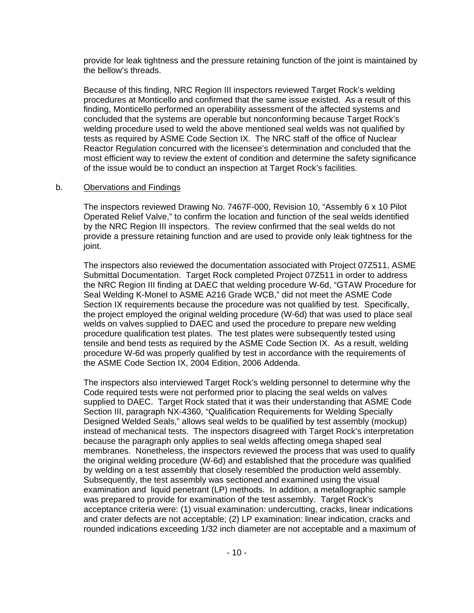provide for leak tightness and the pressure retaining function of the joint is maintained by the bellow's threads.

Because of this finding, NRC Region III inspectors reviewed Target Rock's welding procedures at Monticello and confirmed that the same issue existed. As a result of this finding, Monticello performed an operability assessment of the affected systems and concluded that the systems are operable but nonconforming because Target Rock's welding procedure used to weld the above mentioned seal welds was not qualified by tests as required by ASME Code Section IX. The NRC staff of the office of Nuclear Reactor Regulation concurred with the licensee's determination and concluded that the most efficient way to review the extent of condition and determine the safety significance of the issue would be to conduct an inspection at Target Rock's facilities.

#### b. Obervations and Findings

The inspectors reviewed Drawing No. 7467F-000, Revision 10, "Assembly 6 x 10 Pilot Operated Relief Valve," to confirm the location and function of the seal welds identified by the NRC Region III inspectors. The review confirmed that the seal welds do not provide a pressure retaining function and are used to provide only leak tightness for the joint.

The inspectors also reviewed the documentation associated with Project 07Z511, ASME Submittal Documentation. Target Rock completed Project 07Z511 in order to address the NRC Region III finding at DAEC that welding procedure W-6d, "GTAW Procedure for Seal Welding K-Monel to ASME A216 Grade WCB," did not meet the ASME Code Section IX requirements because the procedure was not qualified by test. Specifically, the project employed the original welding procedure (W-6d) that was used to place seal welds on valves supplied to DAEC and used the procedure to prepare new welding procedure qualification test plates. The test plates were subsequently tested using tensile and bend tests as required by the ASME Code Section IX. As a result, welding procedure W-6d was properly qualified by test in accordance with the requirements of the ASME Code Section IX, 2004 Edition, 2006 Addenda.

The inspectors also interviewed Target Rock's welding personnel to determine why the Code required tests were not performed prior to placing the seal welds on valves supplied to DAEC. Target Rock stated that it was their understanding that ASME Code Section III, paragraph NX-4360, "Qualification Requirements for Welding Specially Designed Welded Seals," allows seal welds to be qualified by test assembly (mockup) instead of mechanical tests. The inspectors disagreed with Target Rock's interpretation because the paragraph only applies to seal welds affecting omega shaped seal membranes. Nonetheless, the inspectors reviewed the process that was used to qualify the original welding procedure (W-6d) and established that the procedure was qualified by welding on a test assembly that closely resembled the production weld assembly. Subsequently, the test assembly was sectioned and examined using the visual examination and liquid penetrant (LP) methods. In addition, a metallographic sample was prepared to provide for examination of the test assembly. Target Rock's acceptance criteria were: (1) visual examination: undercutting, cracks, linear indications and crater defects are not acceptable; (2) LP examination: linear indication, cracks and rounded indications exceeding 1/32 inch diameter are not acceptable and a maximum of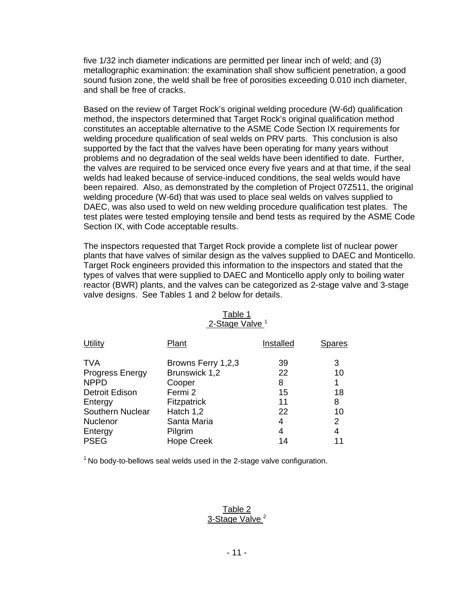five 1/32 inch diameter indications are permitted per linear inch of weld; and (3) metallographic examination: the examination shall show sufficient penetration, a good sound fusion zone, the weld shall be free of porosities exceeding 0.010 inch diameter, and shall be free of cracks.

Based on the review of Target Rock's original welding procedure (W-6d) qualification method, the inspectors determined that Target Rock's original qualification method constitutes an acceptable alternative to the ASME Code Section IX requirements for welding procedure qualification of seal welds on PRV parts. This conclusion is also supported by the fact that the valves have been operating for many years without problems and no degradation of the seal welds have been identified to date. Further, the valves are required to be serviced once every five years and at that time, if the seal welds had leaked because of service-induced conditions, the seal welds would have been repaired. Also, as demonstrated by the completion of Project 07Z511, the original welding procedure (W-6d) that was used to place seal welds on valves supplied to DAEC, was also used to weld on new welding procedure qualification test plates. The test plates were tested employing tensile and bend tests as required by the ASME Code Section IX, with Code acceptable results.

The inspectors requested that Target Rock provide a complete list of nuclear power plants that have valves of similar design as the valves supplied to DAEC and Monticello. Target Rock engineers provided this information to the inspectors and stated that the types of valves that were supplied to DAEC and Monticello apply only to boiling water reactor (BWR) plants, and the valves can be categorized as 2-stage valve and 3-stage valve designs. See Tables 1 and 2 below for details.

| Table 1       |  |
|---------------|--|
| 2-Stage Valve |  |

| Utility                                                                                                                                    | Plant                                                                                                                                          | Installed                                       | Spares                                                     |
|--------------------------------------------------------------------------------------------------------------------------------------------|------------------------------------------------------------------------------------------------------------------------------------------------|-------------------------------------------------|------------------------------------------------------------|
| <b>TVA</b><br><b>Progress Energy</b><br><b>NPPD</b><br>Detroit Edison<br>Entergy<br>Southern Nuclear<br>Nuclenor<br>Entergy<br><b>PSEG</b> | Browns Ferry 1,2,3<br>Brunswick 1,2<br>Cooper<br>Fermi <sub>2</sub><br>Fitzpatrick<br>Hatch 1,2<br>Santa Maria<br>Pilgrim<br><b>Hope Creek</b> | 39<br>22<br>8<br>15<br>11<br>22<br>4<br>4<br>14 | 3<br>10<br>1<br>18<br>8<br>10<br>$\overline{2}$<br>4<br>11 |
|                                                                                                                                            |                                                                                                                                                |                                                 |                                                            |

 $1$  No body-to-bellows seal welds used in the 2-stage valve configuration.

#### Table 2 3-Stage Valve<sup>2</sup>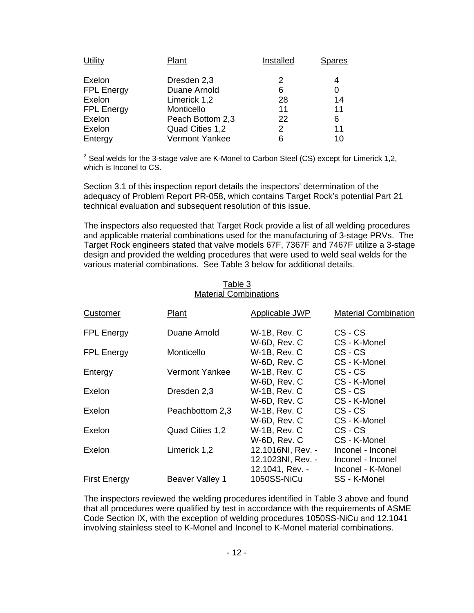| <b>Utility</b>    | Plant            | Installed | Spares |
|-------------------|------------------|-----------|--------|
| Exelon            | Dresden 2,3      | 2         |        |
| <b>FPL Energy</b> | Duane Arnold     | 6         |        |
| Exelon            | Limerick 1,2     | 28        | 14     |
| <b>FPL Energy</b> | Monticello       | 11        | 11     |
| Exelon            | Peach Bottom 2,3 | 22        | 6      |
| Exelon            | Quad Cities 1,2  | 2         | 11     |
| Entergy           | Vermont Yankee   | 6         | 10     |

 $2$  Seal welds for the 3-stage valve are K-Monel to Carbon Steel (CS) except for Limerick 1,2, which is Inconel to CS.

Section 3.1 of this inspection report details the inspectors' determination of the adequacy of Problem Report PR-058, which contains Target Rock's potential Part 21 technical evaluation and subsequent resolution of this issue.

The inspectors also requested that Target Rock provide a list of all welding procedures and applicable material combinations used for the manufacturing of 3-stage PRVs. The Target Rock engineers stated that valve models 67F, 7367F and 7467F utilize a 3-stage design and provided the welding procedures that were used to weld seal welds for the various material combinations. See Table 3 below for additional details.

| Customer            | Plant                  | Applicable JWP                                         | <b>Material Combination</b>                            |
|---------------------|------------------------|--------------------------------------------------------|--------------------------------------------------------|
| <b>FPL Energy</b>   | Duane Arnold           | W-1B, Rev. C                                           | CS-CS                                                  |
| <b>FPL Energy</b>   | Monticello             | W-6D, Rev. C<br><b>W-1B, Rev. C</b><br>W-6D, Rev. C    | CS - K-Monel<br>$CS$ - $CS$<br>CS - K-Monel            |
| Entergy             | Vermont Yankee         | <b>W-1B, Rev. C</b><br>W-6D, Rev. C                    | CS-CS<br>CS - K-Monel                                  |
| Exelon              | Dresden 2,3            | W-1B, Rev. C                                           | CS-CS                                                  |
| Exelon              | Peachbottom 2,3        | W-6D, Rev. C<br><b>W-1B, Rev. C</b>                    | CS - K-Monel<br>$CS - CS$                              |
| Exelon              | Quad Cities 1,2        | W-6D, Rev. C<br><b>W-1B, Rev. C</b>                    | CS - K-Monel<br>CS-CS                                  |
| Exelon              | Limerick 1,2           | W-6D, Rev. C<br>12.1016NI, Rev. -<br>12.1023NI, Rev. - | CS - K-Monel<br>Inconel - Inconel<br>Inconel - Inconel |
| <b>First Energy</b> | <b>Beaver Valley 1</b> | 12.1041, Rev. -<br>1050SS-NiCu                         | Inconel - K-Monel<br>SS - K-Monel                      |

#### Table 3 Material Combinations

The inspectors reviewed the welding procedures identified in Table 3 above and found that all procedures were qualified by test in accordance with the requirements of ASME Code Section IX, with the exception of welding procedures 1050SS-NiCu and 12.1041 involving stainless steel to K-Monel and Inconel to K-Monel material combinations.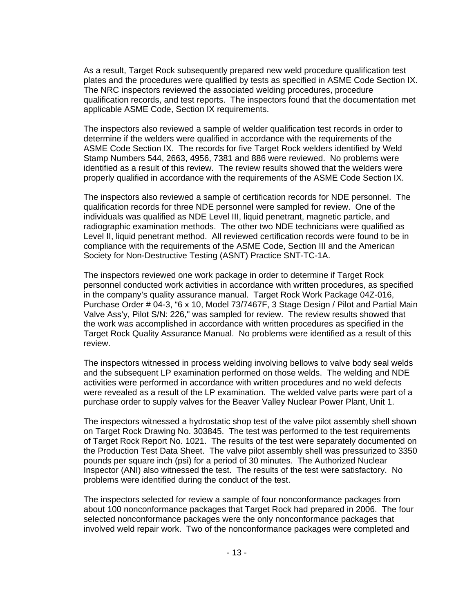As a result, Target Rock subsequently prepared new weld procedure qualification test plates and the procedures were qualified by tests as specified in ASME Code Section IX. The NRC inspectors reviewed the associated welding procedures, procedure qualification records, and test reports. The inspectors found that the documentation met applicable ASME Code, Section IX requirements.

The inspectors also reviewed a sample of welder qualification test records in order to determine if the welders were qualified in accordance with the requirements of the ASME Code Section IX. The records for five Target Rock welders identified by Weld Stamp Numbers 544, 2663, 4956, 7381 and 886 were reviewed. No problems were identified as a result of this review. The review results showed that the welders were properly qualified in accordance with the requirements of the ASME Code Section IX.

The inspectors also reviewed a sample of certification records for NDE personnel. The qualification records for three NDE personnel were sampled for review. One of the individuals was qualified as NDE Level III, liquid penetrant, magnetic particle, and radiographic examination methods. The other two NDE technicians were qualified as Level II, liquid penetrant method. All reviewed certification records were found to be in compliance with the requirements of the ASME Code, Section III and the American Society for Non-Destructive Testing (ASNT) Practice SNT-TC-1A.

The inspectors reviewed one work package in order to determine if Target Rock personnel conducted work activities in accordance with written procedures, as specified in the company's quality assurance manual. Target Rock Work Package 04Z-016, Purchase Order # 04-3, "6 x 10, Model 73/7467F, 3 Stage Design / Pilot and Partial Main Valve Ass'y, Pilot S/N: 226," was sampled for review. The review results showed that the work was accomplished in accordance with written procedures as specified in the Target Rock Quality Assurance Manual. No problems were identified as a result of this review.

The inspectors witnessed in process welding involving bellows to valve body seal welds and the subsequent LP examination performed on those welds. The welding and NDE activities were performed in accordance with written procedures and no weld defects were revealed as a result of the LP examination. The welded valve parts were part of a purchase order to supply valves for the Beaver Valley Nuclear Power Plant, Unit 1.

The inspectors witnessed a hydrostatic shop test of the valve pilot assembly shell shown on Target Rock Drawing No. 303845. The test was performed to the test requirements of Target Rock Report No. 1021. The results of the test were separately documented on the Production Test Data Sheet. The valve pilot assembly shell was pressurized to 3350 pounds per square inch (psi) for a period of 30 minutes. The Authorized Nuclear Inspector (ANI) also witnessed the test. The results of the test were satisfactory. No problems were identified during the conduct of the test.

The inspectors selected for review a sample of four nonconformance packages from about 100 nonconformance packages that Target Rock had prepared in 2006. The four selected nonconformance packages were the only nonconformance packages that involved weld repair work. Two of the nonconformance packages were completed and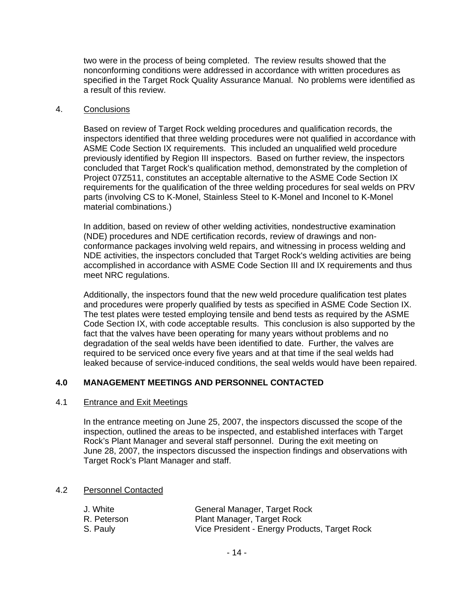two were in the process of being completed. The review results showed that the nonconforming conditions were addressed in accordance with written procedures as specified in the Target Rock Quality Assurance Manual. No problems were identified as a result of this review.

#### 4. Conclusions

Based on review of Target Rock welding procedures and qualification records, the inspectors identified that three welding procedures were not qualified in accordance with ASME Code Section IX requirements. This included an unqualified weld procedure previously identified by Region III inspectors. Based on further review, the inspectors concluded that Target Rock's qualification method, demonstrated by the completion of Project 07Z511, constitutes an acceptable alternative to the ASME Code Section IX requirements for the qualification of the three welding procedures for seal welds on PRV parts (involving CS to K-Monel, Stainless Steel to K-Monel and Inconel to K-Monel material combinations.)

In addition, based on review of other welding activities, nondestructive examination (NDE) procedures and NDE certification records, review of drawings and nonconformance packages involving weld repairs, and witnessing in process welding and NDE activities, the inspectors concluded that Target Rock's welding activities are being accomplished in accordance with ASME Code Section III and IX requirements and thus meet NRC regulations.

Additionally, the inspectors found that the new weld procedure qualification test plates and procedures were properly qualified by tests as specified in ASME Code Section IX. The test plates were tested employing tensile and bend tests as required by the ASME Code Section IX, with code acceptable results. This conclusion is also supported by the fact that the valves have been operating for many years without problems and no degradation of the seal welds have been identified to date. Further, the valves are required to be serviced once every five years and at that time if the seal welds had leaked because of service-induced conditions, the seal welds would have been repaired.

## **4.0 MANAGEMENT MEETINGS AND PERSONNEL CONTACTED**

#### 4.1 Entrance and Exit Meetings

In the entrance meeting on June 25, 2007, the inspectors discussed the scope of the inspection, outlined the areas to be inspected, and established interfaces with Target Rock's Plant Manager and several staff personnel. During the exit meeting on June 28, 2007, the inspectors discussed the inspection findings and observations with Target Rock's Plant Manager and staff.

## 4.2 Personnel Contacted

| J. White    | General Manager, Target Rock                  |
|-------------|-----------------------------------------------|
| R. Peterson | Plant Manager, Target Rock                    |
| S. Pauly    | Vice President - Energy Products, Target Rock |